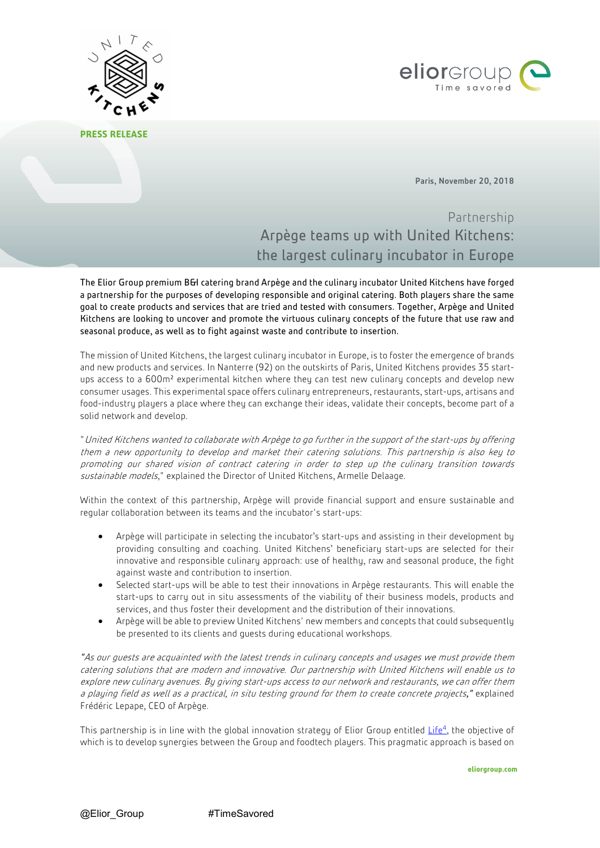

**PRESS RELEASE**



Paris, November 20, 2018

Partnership Arpège teams up with United Kitchens: the largest culinary incubator in Europe

The Elior Group premium B&I catering brand Arpège and the culinary incubator United Kitchens have forged a partnership for the purposes of developing responsible and original catering. Both players share the same goal to create products and services that are tried and tested with consumers. Together, Arpège and United Kitchens are looking to uncover and promote the virtuous culinary concepts of the future that use raw and seasonal produce, as well as to fight against waste and contribute to insertion.

The mission of United Kitchens, the largest culinary incubator in Europe, is to foster the emergence of brands and new products and services. In Nanterre (92) on the outskirts of Paris, United Kitchens provides 35 startups access to a 600m² experimental kitchen where they can test new culinary concepts and develop new consumer usages. This experimental space offers culinary entrepreneurs, restaurants, start-ups, artisans and food-industry players a place where they can exchange their ideas, validate their concepts, become part of a solid network and develop.

"United Kitchens wanted to collaborate with Arpège to go further in the support of the start-ups by offering them a new opportunity to develop and market their catering solutions. This partnership is also key to promoting our shared vision of contract catering in order to step up the culinary transition towards sustainable models," explained the Director of United Kitchens, Armelle Delaage.

Within the context of this partnership, Arpège will provide financial support and ensure sustainable and regular collaboration between its teams and the incubator's start-ups:

- Arpège will participate in selecting the incubator's start-ups and assisting in their development by providing consulting and coaching. United Kitchens' beneficiary start-ups are selected for their innovative and responsible culinary approach: use of healthy, raw and seasonal produce, the fight against waste and contribution to insertion.
- Selected start-ups will be able to test their innovations in Arpège restaurants. This will enable the start-ups to carry out in situ assessments of the viability of their business models, products and services, and thus foster their development and the distribution of their innovations.
- Arpège will be able to preview United Kitchens' new members and concepts that could subsequently be presented to its clients and guests during educational workshops.

*"*As our guests are acquainted with the latest trends in culinary concepts and usages we must provide them catering solutions that are modern and innovative. Our partnership with United Kitchens will enable us to explore new culinary avenues. By giving start-ups access to our network and restaurants, we can offer them a playing field as well as a practical, in situ testing ground for them to create concrete projects*,"* explained Frédéric Lepape, CEO of Arpège.

This partnership is in line with the global innovation strategy of Elior Group entitled Life<sup>4</sup>, the objective of which is to develop synergies between the Group and foodtech players. This pragmatic approach is based on

**eliorgroup.com**

@Elior Group #TimeSavored